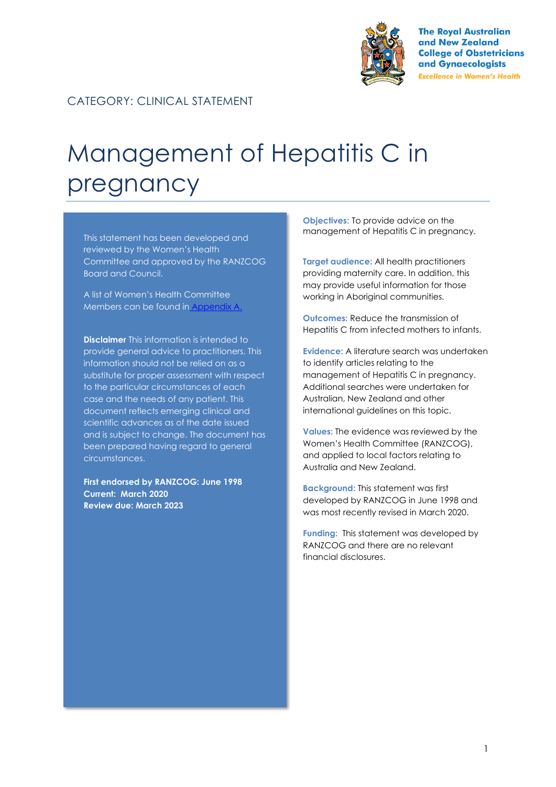

**The Royal Australian** and New Zealand **College of Obstetricians** and Gynaecologists **Excellence in Women's Health** 

#### CATEGORY: CLINICAL STATEMENT

# Management of Hepatitis C in pregnancy

This statement has been developed and reviewed by the Women's Health Committee and approved by the RANZCOG Board and Council.

A list of Women's Health Committee Members can be found in Appendix A.

**Disclaimer** This information is intended to provide general advice to practitioners. This information should not be relied on as a substitute for proper assessment with respect to the particular circumstances of each case and the needs of any patient. This document reflects emerging clinical and scientific advances as of the date issued and is subject to change. The document has been prepared having regard to general circumstances.

**First endorsed by RANZCOG: June 1998 Current: March 2020 Review due: March 2023**

**Objectives:** To provide advice on the management of Hepatitis C in pregnancy.

**Target audience:** All health practitioners providing maternity care. In addition, this may provide useful information for those working in Aboriginal communities.

**Outcomes:** Reduce the transmission of Hepatitis C from infected mothers to infants.

**Evidence:** A literature search was undertaken to identify articles relating to the management of Hepatitis C in pregnancy. Additional searches were undertaken for Australian, New Zealand and other international guidelines on this topic.

**Values:** The evidence was reviewed by the Women's Health Committee (RANZCOG), and applied to local factors relating to Australia and New Zealand.

**Background:** This statement was first developed by RANZCOG in June 1998 and was most recently revised in March 2020.

**Funding:** This statement was developed by RANZCOG and there are no relevant financial disclosures.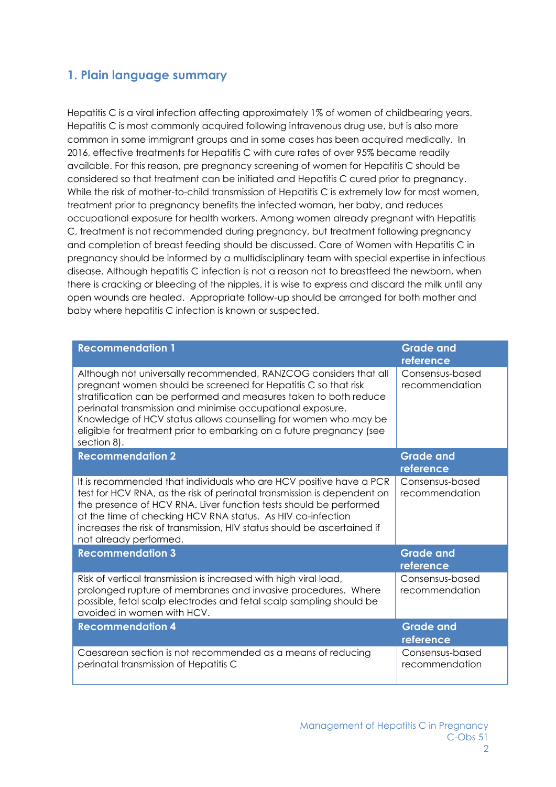#### **1. Plain language summary**

Hepatitis C is a viral infection affecting approximately 1% of women of childbearing years. Hepatitis C is most commonly acquired following intravenous drug use, but is also more common in some immigrant groups and in some cases has been acquired medically. In 2016, effective treatments for Hepatitis C with cure rates of over 95% became readily available. For this reason, pre pregnancy screening of women for Hepatitis C should be considered so that treatment can be initiated and Hepatitis C cured prior to pregnancy. While the risk of mother-to-child transmission of Hepatitis C is extremely low for most women, treatment prior to pregnancy benefits the infected woman, her baby, and reduces occupational exposure for health workers. Among women already pregnant with Hepatitis C, treatment is not recommended during pregnancy, but treatment following pregnancy and completion of breast feeding should be discussed. Care of Women with Hepatitis C in pregnancy should be informed by a multidisciplinary team with special expertise in infectious disease. Although hepatitis C infection is not a reason not to breastfeed the newborn, when there is cracking or bleeding of the nipples, it is wise to express and discard the milk until any open wounds are healed. Appropriate follow-up should be arranged for both mother and baby where hepatitis C infection is known or suspected.

| <b>Recommendation 1</b>                                                                                                                                                                                                                                                                                                                                                                                                         | <b>Grade and</b><br>reference     |
|---------------------------------------------------------------------------------------------------------------------------------------------------------------------------------------------------------------------------------------------------------------------------------------------------------------------------------------------------------------------------------------------------------------------------------|-----------------------------------|
| Although not universally recommended, RANZCOG considers that all<br>pregnant women should be screened for Hepatitis C so that risk<br>stratification can be performed and measures taken to both reduce<br>perinatal transmission and minimise occupational exposure.<br>Knowledge of HCV status allows counselling for women who may be<br>eligible for treatment prior to embarking on a future pregnancy (see<br>section 8). | Consensus-based<br>recommendation |
| <b>Recommendation 2</b>                                                                                                                                                                                                                                                                                                                                                                                                         | <b>Grade and</b><br>reference     |
| It is recommended that individuals who are HCV positive have a PCR<br>test for HCV RNA, as the risk of perinatal transmission is dependent on<br>the presence of HCV RNA. Liver function tests should be performed<br>at the time of checking HCV RNA status. As HIV co-infection<br>increases the risk of transmission, HIV status should be ascertained if<br>not already performed.                                          | Consensus-based<br>recommendation |
| <b>Recommendation 3</b>                                                                                                                                                                                                                                                                                                                                                                                                         | <b>Grade and</b><br>reference     |
| Risk of vertical transmission is increased with high viral load,<br>prolonged rupture of membranes and invasive procedures. Where<br>possible, fetal scalp electrodes and fetal scalp sampling should be<br>avoided in women with HCV.                                                                                                                                                                                          | Consensus-based<br>recommendation |
| <b>Recommendation 4</b>                                                                                                                                                                                                                                                                                                                                                                                                         | <b>Grade and</b><br>reference     |
| Caesarean section is not recommended as a means of reducing<br>perinatal transmission of Hepatitis C                                                                                                                                                                                                                                                                                                                            | Consensus-based<br>recommendation |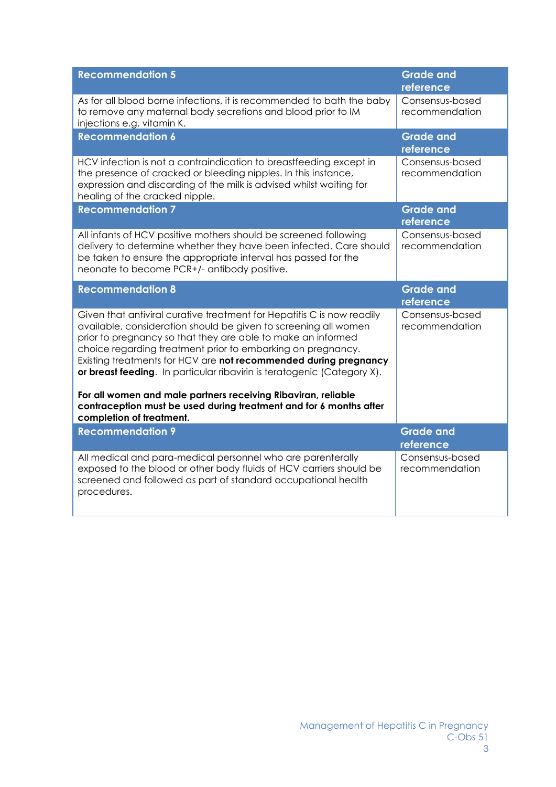| <b>Recommendation 5</b>                                                                                                                                                                                                                                                                                                                                                                                                 | <b>Grade and</b><br>reference     |
|-------------------------------------------------------------------------------------------------------------------------------------------------------------------------------------------------------------------------------------------------------------------------------------------------------------------------------------------------------------------------------------------------------------------------|-----------------------------------|
| As for all blood borne infections, it is recommended to bath the baby<br>to remove any maternal body secretions and blood prior to IM<br>injections e.g. vitamin K.                                                                                                                                                                                                                                                     | Consensus-based<br>recommendation |
| <b>Recommendation 6</b>                                                                                                                                                                                                                                                                                                                                                                                                 | <b>Grade and</b><br>reference     |
| HCV infection is not a contraindication to breastfeeding except in<br>the presence of cracked or bleeding nipples. In this instance,<br>expression and discarding of the milk is advised whilst waiting for<br>healing of the cracked nipple.                                                                                                                                                                           | Consensus-based<br>recommendation |
| <b>Recommendation 7</b>                                                                                                                                                                                                                                                                                                                                                                                                 | <b>Grade and</b><br>reference     |
| All infants of HCV positive mothers should be screened following<br>delivery to determine whether they have been infected. Care should<br>be taken to ensure the appropriate interval has passed for the<br>neonate to become PCR+/- antibody positive.                                                                                                                                                                 | Consensus-based<br>recommendation |
| <b>Recommendation 8</b>                                                                                                                                                                                                                                                                                                                                                                                                 | <b>Grade and</b><br>reference     |
| Given that antiviral curative treatment for Hepatitis C is now readily<br>available, consideration should be given to screening all women<br>prior to pregnancy so that they are able to make an informed<br>choice regarding treatment prior to embarking on pregnancy.<br>Existing treatments for HCV are not recommended during pregnancy<br>or breast feeding. In particular ribavirin is teratogenic (Category X). | Consensus-based<br>recommendation |
| For all women and male partners receiving Ribaviran, reliable<br>contraception must be used during treatment and for 6 months after<br>completion of treatment.                                                                                                                                                                                                                                                         |                                   |
| <b>Recommendation 9</b>                                                                                                                                                                                                                                                                                                                                                                                                 | <b>Grade and</b><br>reference     |
| All medical and para-medical personnel who are parenterally<br>exposed to the blood or other body fluids of HCV carriers should be<br>screened and followed as part of standard occupational health<br>procedures.                                                                                                                                                                                                      | Consensus-based<br>recommendation |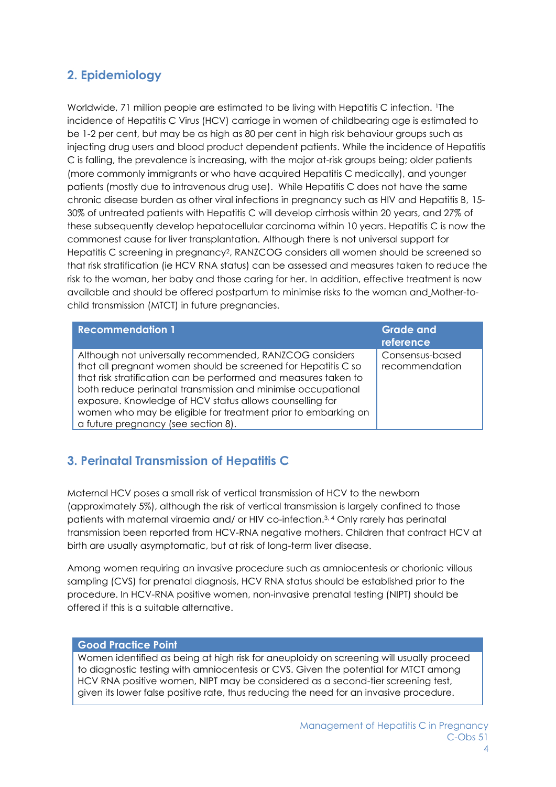# **2. Epidemiology**

Worldwide, 71 million people are estimated to be living with Hepatitis C infection. The incidence of Hepatitis C Virus (HCV) carriage in women of childbearing age is estimated to be 1-2 per cent, but may be as high as 80 per cent in high risk behaviour groups such as injecting drug users and blood product dependent patients. While the incidence of Hepatitis C is falling, the prevalence is increasing, with the major at-risk groups being; older patients (more commonly immigrants or who have acquired Hepatitis C medically), and younger patients (mostly due to intravenous drug use). While Hepatitis C does not have the same chronic disease burden as other viral infections in pregnancy such as HIV and Hepatitis B, 15- 30% of untreated patients with Hepatitis C will develop cirrhosis within 20 years, and 27% of these subsequently develop hepatocellular carcinoma within 10 years. Hepatitis C is now the commonest cause for liver transplantation. Although there is not universal support for Hepatitis C screening in pregnancy<sup>2</sup>, RANZCOG considers all women should be screened so that risk stratification (ie HCV RNA status) can be assessed and measures taken to reduce the risk to the woman, her baby and those caring for her. In addition, effective treatment is now available and should be offered postpartum to minimise risks to the woman and Mother-tochild transmission (MTCT) in future pregnancies.

| <b>Recommendation 1</b>                                                                                                                                                                                                                                                                                                                                                                                                         | <b>Grade and</b><br>reference     |
|---------------------------------------------------------------------------------------------------------------------------------------------------------------------------------------------------------------------------------------------------------------------------------------------------------------------------------------------------------------------------------------------------------------------------------|-----------------------------------|
| Although not universally recommended, RANZCOG considers<br>that all pregnant women should be screened for Hepatitis C so<br>that risk stratification can be performed and measures taken to<br>both reduce perinatal transmission and minimise occupational<br>exposure. Knowledge of HCV status allows counselling for<br>women who may be eligible for treatment prior to embarking on<br>a future pregnancy (see section 8). | Consensus-based<br>recommendation |

# **3. Perinatal Transmission of Hepatitis C**

Maternal HCV poses a small risk of vertical transmission of HCV to the newborn (approximately 5%), although the risk of vertical transmission is largely confined to those patients with maternal viraemia and/ or HIV co-infection.3, 4 Only rarely has perinatal transmission been reported from HCV-RNA negative mothers. Children that contract HCV at birth are usually asymptomatic, but at risk of long-term liver disease.

Among women requiring an invasive procedure such as amniocentesis or chorionic villous sampling (CVS) for prenatal diagnosis, HCV RNA status should be established prior to the procedure. In HCV-RNA positive women, non-invasive prenatal testing (NIPT) should be offered if this is a suitable alternative.

#### **Good Practice Point**

Women identified as being at high risk for aneuploidy on screening will usually proceed to diagnostic testing with amniocentesis or CVS. Given the potential for MTCT among HCV RNA positive women, NIPT may be considered as a second-tier screening test, given its lower false positive rate, thus reducing the need for an invasive procedure.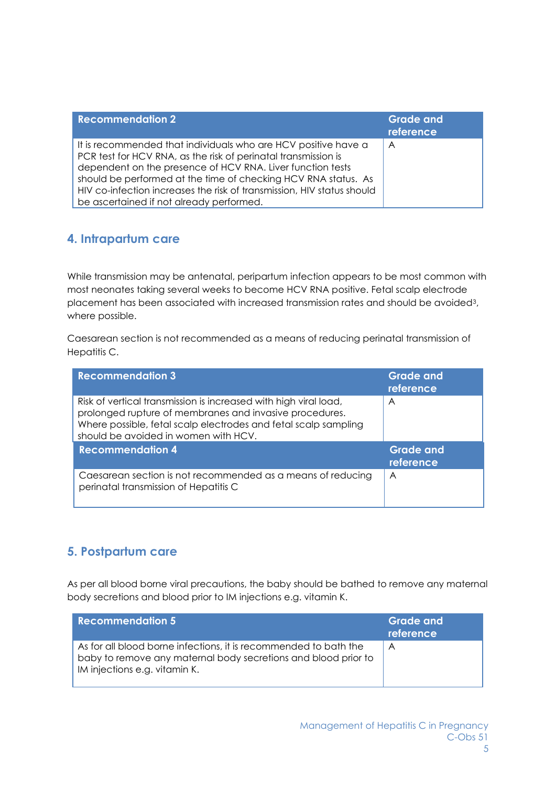| <b>Recommendation 2</b>                                                                                                                                                                                                                                                                                                                                                                | <b>Grade and</b><br>reference |
|----------------------------------------------------------------------------------------------------------------------------------------------------------------------------------------------------------------------------------------------------------------------------------------------------------------------------------------------------------------------------------------|-------------------------------|
| It is recommended that individuals who are HCV positive have a<br>PCR test for HCV RNA, as the risk of perinatal transmission is<br>dependent on the presence of HCV RNA. Liver function tests<br>should be performed at the time of checking HCV RNA status. As<br>HIV co-infection increases the risk of transmission, HIV status should<br>be ascertained if not already performed. | A                             |

## **4. Intrapartum care**

While transmission may be antenatal, peripartum infection appears to be most common with most neonates taking several weeks to become HCV RNA positive. Fetal scalp electrode placement has been associated with increased transmission rates and should be avoided3, where possible.

Caesarean section is not recommended as a means of reducing perinatal transmission of Hepatitis C.

| <b>Recommendation 3</b>                                                                                                                                                                                                                | <b>Grade and</b><br>reference |
|----------------------------------------------------------------------------------------------------------------------------------------------------------------------------------------------------------------------------------------|-------------------------------|
| Risk of vertical transmission is increased with high viral load,<br>prolonged rupture of membranes and invasive procedures.<br>Where possible, fetal scalp electrodes and fetal scalp sampling<br>should be avoided in women with HCV. | $\overline{A}$                |
| <b>Recommendation 4</b>                                                                                                                                                                                                                | <b>Grade and</b><br>reference |
| Caesarean section is not recommended as a means of reducing<br>perinatal transmission of Hepatitis C                                                                                                                                   | A                             |

# **5. Postpartum care**

As per all blood borne viral precautions, the baby should be bathed to remove any maternal body secretions and blood prior to IM injections e.g. vitamin K.

| <b>Recommendation 5</b>                                                                                                                                             | <b>Grade and</b><br>reference |
|---------------------------------------------------------------------------------------------------------------------------------------------------------------------|-------------------------------|
| As for all blood borne infections, it is recommended to bath the<br>baby to remove any maternal body secretions and blood prior to<br>IM injections e.g. vitamin K. | A                             |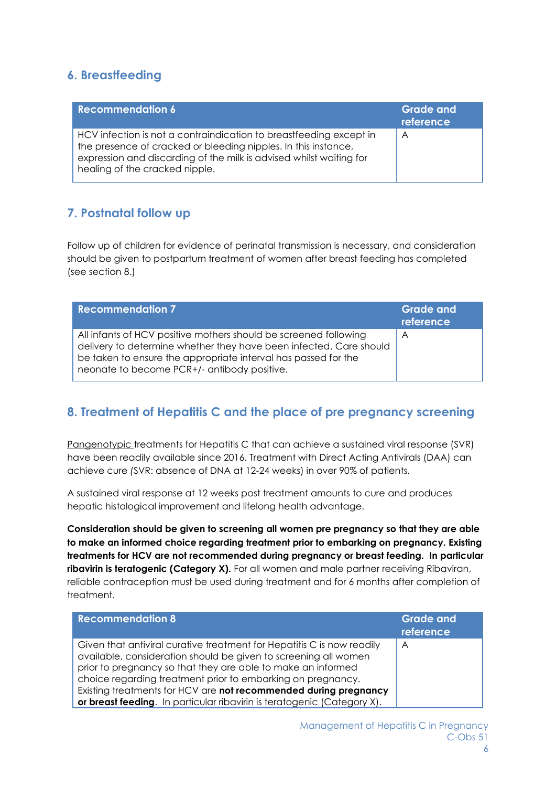### **6. Breastfeeding**

| <b>Recommendation 6</b>                                                                                                                                                                                                                       | <b>Grade and</b><br>reference |
|-----------------------------------------------------------------------------------------------------------------------------------------------------------------------------------------------------------------------------------------------|-------------------------------|
| HCV infection is not a contraindication to breastfeeding except in<br>the presence of cracked or bleeding nipples. In this instance,<br>expression and discarding of the milk is advised whilst waiting for<br>healing of the cracked nipple. | $\overline{\mathsf{A}}$       |

# **7. Postnatal follow up**

Follow up of children for evidence of perinatal transmission is necessary, and consideration should be given to postpartum treatment of women after breast feeding has completed (see section 8.)

| <b>Recommendation 7</b>                                                                                                                                                                                                                                 | <b>Grade and</b><br>reference |
|---------------------------------------------------------------------------------------------------------------------------------------------------------------------------------------------------------------------------------------------------------|-------------------------------|
| All infants of HCV positive mothers should be screened following<br>delivery to determine whether they have been infected. Care should<br>be taken to ensure the appropriate interval has passed for the<br>neonate to become PCR+/- antibody positive. | $\forall$                     |

# **8. Treatment of Hepatitis C and the place of pre pregnancy screening**

Pangenotypic treatments for Hepatitis C that can achieve a sustained viral response (SVR) have been readily available since 2016. Treatment with Direct Acting Antivirals (DAA) can achieve cure *(*SVR: absence of DNA at 12-24 weeks) in over 90% of patients.

A sustained viral response at 12 weeks post treatment amounts to cure and produces hepatic histological improvement and lifelong health advantage.

**Consideration should be given to screening all women pre pregnancy so that they are able to make an informed choice regarding treatment prior to embarking on pregnancy. Existing treatments for HCV are not recommended during pregnancy or breast feeding. In particular ribavirin is teratogenic (Category X).** For all women and male partner receiving Ribaviran, reliable contraception must be used during treatment and for 6 months after completion of treatment.

| <b>Recommendation 8</b>                                                                                                                                                                                                                                                                                                                      | <b>Grade and</b><br>reference |
|----------------------------------------------------------------------------------------------------------------------------------------------------------------------------------------------------------------------------------------------------------------------------------------------------------------------------------------------|-------------------------------|
| Given that antiviral curative treatment for Hepatitis C is now readily<br>available, consideration should be given to screening all women<br>prior to pregnancy so that they are able to make an informed<br>choice regarding treatment prior to embarking on pregnancy.<br>Existing treatments for HCV are not recommended during pregnancy | $\forall$                     |
| or breast feeding. In particular ribavirin is teratogenic (Category X).                                                                                                                                                                                                                                                                      |                               |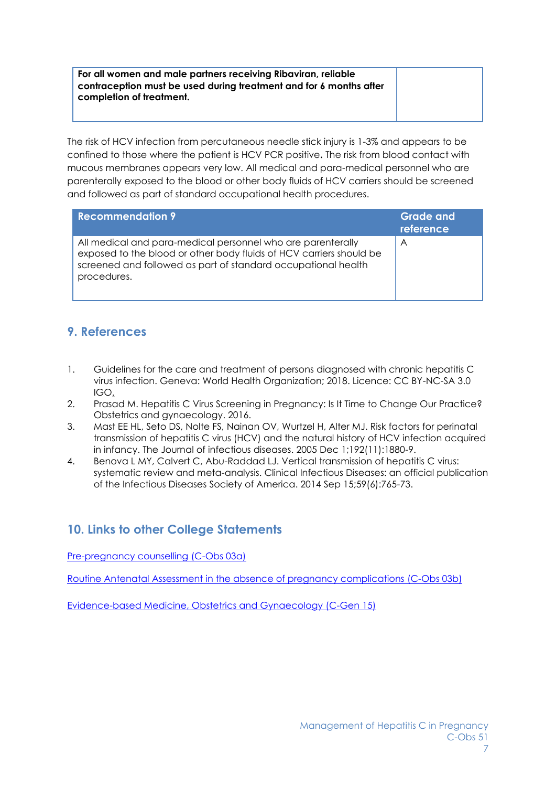#### **For all women and male partners receiving Ribaviran, reliable contraception must be used during treatment and for 6 months after completion of treatment.**

The risk of HCV infection from percutaneous needle stick injury is 1-3% and appears to be confined to those where the patient is HCV PCR positive**.** The risk from blood contact with mucous membranes appears very low. All medical and para-medical personnel who are parenterally exposed to the blood or other body fluids of HCV carriers should be screened and followed as part of standard occupational health procedures.

| <b>Recommendation 9</b>                                                                                                                                                                                            | <b>Grade and</b><br>reference |
|--------------------------------------------------------------------------------------------------------------------------------------------------------------------------------------------------------------------|-------------------------------|
| All medical and para-medical personnel who are parenterally<br>exposed to the blood or other body fluids of HCV carriers should be<br>screened and followed as part of standard occupational health<br>procedures. | A                             |

## **9. References**

- 1. Guidelines for the care and treatment of persons diagnosed with chronic hepatitis C virus infection. Geneva: World Health Organization; 2018. Licence: CC BY-NC-SA 3.0 IGO.
- 2. Prasad M. Hepatitis C Virus Screening in Pregnancy: Is It Time to Change Our Practice? Obstetrics and gynaecology. 2016.
- 3. Mast EE HL, Seto DS, Nolte FS, Nainan OV, Wurtzel H, Alter MJ. Risk factors for perinatal transmission of hepatitis C virus (HCV) and the natural history of HCV infection acquired in infancy. The Journal of infectious diseases. 2005 Dec 1;192(11):1880-9.
- 4. Benova L MY, Calvert C, Abu-Raddad LJ. Vertical transmission of hepatitis C virus: systematic review and meta-analysis. Clinical Infectious Diseases: an official publication of the Infectious Diseases Society of America. 2014 Sep 15;59(6):765-73.

# **10. Links to other College Statements**

[Pre-pregnancy counselling \(C-Obs 03a\)](https://www.ranzcog.edu.au/RANZCOG_SITE/media/RANZCOG-MEDIA/Women%27s%20Health/Statement%20and%20guidelines/Clinical-Obstetrics/Pre-pregnancy-Counselling-(C-Obs-3a)-Amended-April-2015.pdf?ext=.pdf)

[Routine Antenatal Assessment in the absence of pregnancy complications \(C-Obs 03b\)](https://ranzcog.edu.au/RANZCOG_SITE/media/RANZCOG-MEDIA/Women%27s%20Health/Statement%20and%20guidelines/Clinical-Obstetrics/Routine-antenatal-assessment-in-the-absence-of-pregnancy-complications-(C-Obs-3b)_2.pdf?ext=.pdf)

[Evidence-based Medicine, Obstetrics and Gynaecology \(C-Gen 15\)](https://www.ranzcog.edu.au/RANZCOG_SITE/media/RANZCOG-MEDIA/Women%27s%20Health/Statement%20and%20guidelines/Clinical%20-%20General/Evidence-based-medicine,-Obstetrics-and-Gynaecology-(C-Gen-15)-Review-March-2016.pdf?ext=.pdf)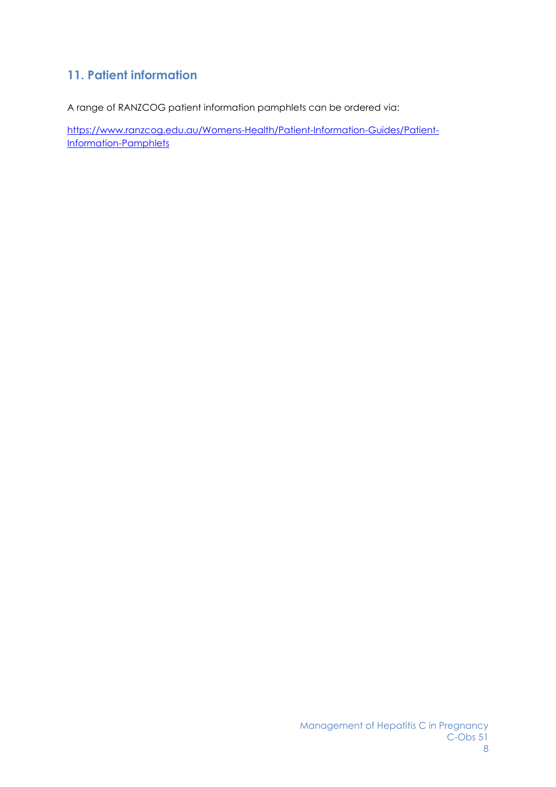# **11. Patient information**

A range of RANZCOG patient information pamphlets can be ordered via:

[https://www.ranzcog.edu.au/Womens-Health/Patient-Information-Guides/Patient-](https://www.ranzcog.edu.au/Womens-Health/Patient-Information-Guides/Patient-Information-Pamphlets)[Information-Pamphlets](https://www.ranzcog.edu.au/Womens-Health/Patient-Information-Guides/Patient-Information-Pamphlets)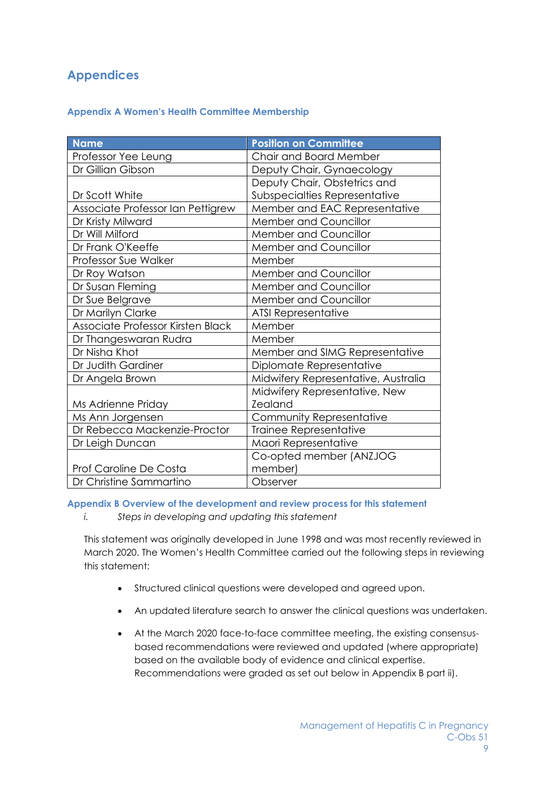# **Appendices**

#### **Appendix A Women's Health Committee Membership**

| <b>Name</b>                       | <b>Position on Committee</b>        |
|-----------------------------------|-------------------------------------|
| Professor Yee Leung               | Chair and Board Member              |
| Dr Gillian Gibson                 | Deputy Chair, Gynaecology           |
|                                   | Deputy Chair, Obstetrics and        |
| Dr Scott White                    | Subspecialties Representative       |
| Associate Professor Ian Pettigrew | Member and EAC Representative       |
| Dr Kristy Milward                 | Member and Councillor               |
| Dr Will Milford                   | <b>Member and Councillor</b>        |
| Dr Frank O'Keeffe                 | Member and Councillor               |
| Professor Sue Walker              | Member                              |
| Dr Roy Watson                     | Member and Councillor               |
| Dr Susan Fleming                  | <b>Member and Councillor</b>        |
| Dr Sue Belgrave                   | Member and Councillor               |
| Dr Marilyn Clarke                 | <b>ATSI Representative</b>          |
| Associate Professor Kirsten Black | Member                              |
| Dr Thangeswaran Rudra             | Member                              |
| Dr Nisha Khot                     | Member and SIMG Representative      |
| Dr Judith Gardiner                | Diplomate Representative            |
| Dr Angela Brown                   | Midwifery Representative, Australia |
|                                   | Midwifery Representative, New       |
| Ms Adrienne Priday                | Zealand                             |
| Ms Ann Jorgensen                  | Community Representative            |
| Dr Rebecca Mackenzie-Proctor      | Trainee Representative              |
| Dr Leigh Duncan                   | Maori Representative                |
|                                   | Co-opted member (ANZJOG             |
| <b>Prof Caroline De Costa</b>     | member)                             |
| Dr Christine Sammartino           | Observer                            |

#### **Appendix B Overview of the development and review process for this statement**

*i. Steps in developing and updating this statement*

This statement was originally developed in June 1998 and was most recently reviewed in March 2020. The Women's Health Committee carried out the following steps in reviewing this statement:

- Structured clinical questions were developed and agreed upon.
- An updated literature search to answer the clinical questions was undertaken.
- At the March 2020 face-to-face committee meeting, the existing consensusbased recommendations were reviewed and updated (where appropriate) based on the available body of evidence and clinical expertise. Recommendations were graded as set out below in Appendix B part ii).